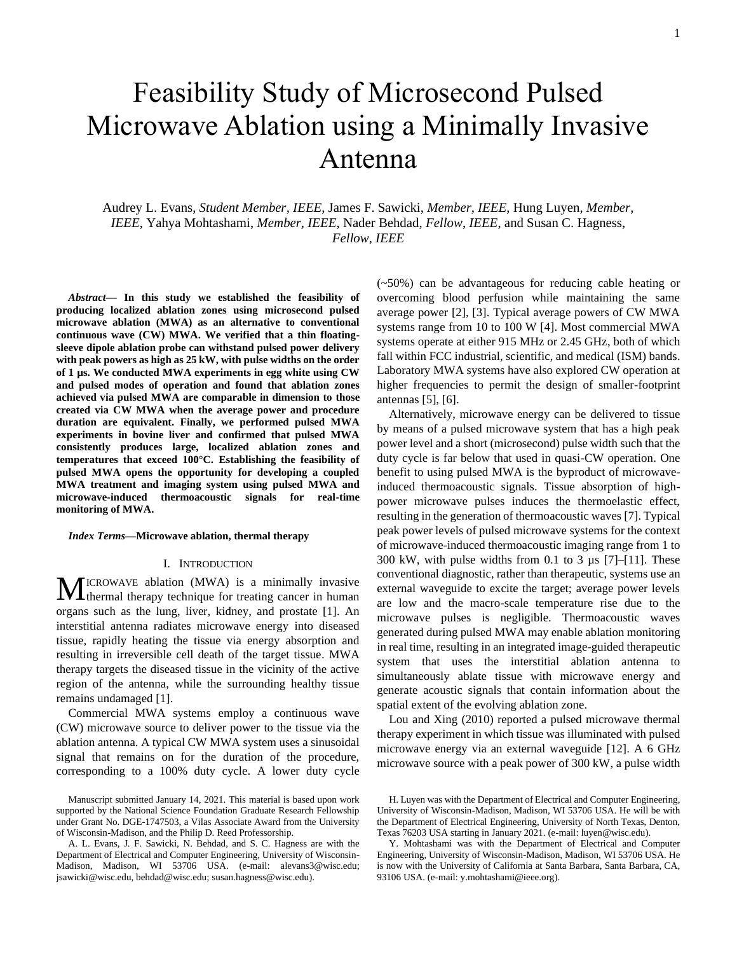# Feasibility Study of Microsecond Pulsed Microwave Ablation using a Minimally Invasive Antenna

Audrey L. Evans, *Student Member, IEEE*, James F. Sawicki, *Member, IEEE*, Hung Luyen, *Member, IEEE*, Yahya Mohtashami, *Member, IEEE*, Nader Behdad, *Fellow, IEEE*, and Susan C. Hagness, *Fellow, IEEE*

*Abstract***— In this study we established the feasibility of producing localized ablation zones using microsecond pulsed microwave ablation (MWA) as an alternative to conventional continuous wave (CW) MWA. We verified that a thin floatingsleeve dipole ablation probe can withstand pulsed power delivery with peak powers as high as 25 kW, with pulse widths on the order of 1 µs. We conducted MWA experiments in egg white using CW and pulsed modes of operation and found that ablation zones achieved via pulsed MWA are comparable in dimension to those created via CW MWA when the average power and procedure duration are equivalent. Finally, we performed pulsed MWA experiments in bovine liver and confirmed that pulsed MWA consistently produces large, localized ablation zones and temperatures that exceed 100°C. Establishing the feasibility of pulsed MWA opens the opportunity for developing a coupled MWA treatment and imaging system using pulsed MWA and microwave-induced thermoacoustic signals for real-time monitoring of MWA.** 

### *Index Terms***—Microwave ablation, thermal therapy**

## I. INTRODUCTION

ICROWAVE ablation (MWA) is a minimally invasive **MICROWAVE ablation (MWA)** is a minimally invasive thermal therapy technique for treating cancer in human organs such as the lung, liver, kidney, and prostate [1]. An interstitial antenna radiates microwave energy into diseased tissue, rapidly heating the tissue via energy absorption and resulting in irreversible cell death of the target tissue. MWA therapy targets the diseased tissue in the vicinity of the active region of the antenna, while the surrounding healthy tissue remains undamaged [1].

Commercial MWA systems employ a continuous wave (CW) microwave source to deliver power to the tissue via the ablation antenna. A typical CW MWA system uses a sinusoidal signal that remains on for the duration of the procedure, corresponding to a 100% duty cycle. A lower duty cycle (~50%) can be advantageous for reducing cable heating or overcoming blood perfusion while maintaining the same average power [2], [3]. Typical average powers of CW MWA systems range from 10 to 100 W [4]. Most commercial MWA systems operate at either 915 MHz or 2.45 GHz, both of which fall within FCC industrial, scientific, and medical (ISM) bands. Laboratory MWA systems have also explored CW operation at higher frequencies to permit the design of smaller-footprint antennas [5], [6].

Alternatively, microwave energy can be delivered to tissue by means of a pulsed microwave system that has a high peak power level and a short (microsecond) pulse width such that the duty cycle is far below that used in quasi-CW operation. One benefit to using pulsed MWA is the byproduct of microwaveinduced thermoacoustic signals. Tissue absorption of highpower microwave pulses induces the thermoelastic effect, resulting in the generation of thermoacoustic waves [7]. Typical peak power levels of pulsed microwave systems for the context of microwave-induced thermoacoustic imaging range from 1 to 300 kW, with pulse widths from 0.1 to 3 µs [7]–[11]. These conventional diagnostic, rather than therapeutic, systems use an external waveguide to excite the target; average power levels are low and the macro-scale temperature rise due to the microwave pulses is negligible. Thermoacoustic waves generated during pulsed MWA may enable ablation monitoring in real time, resulting in an integrated image-guided therapeutic system that uses the interstitial ablation antenna to simultaneously ablate tissue with microwave energy and generate acoustic signals that contain information about the spatial extent of the evolving ablation zone.

Lou and Xing (2010) reported a pulsed microwave thermal therapy experiment in which tissue was illuminated with pulsed microwave energy via an external waveguide [12]. A 6 GHz microwave source with a peak power of 300 kW, a pulse width

Manuscript submitted January 14, 2021. This material is based upon work supported by the National Science Foundation Graduate Research Fellowship under Grant No. DGE-1747503, a Vilas Associate Award from the University of Wisconsin-Madison, and the Philip D. Reed Professorship.

A. L. Evans, J. F. Sawicki, N. Behdad, and S. C. Hagness are with the Department of Electrical and Computer Engineering, University of Wisconsin-Madison, Madison, WI 53706 USA. (e-mail: [alevans3@wisc.edu;](mailto:alevans3@wisc.edu) [jsawicki@wisc.edu,](mailto:jsawicki@wisc.edu) [behdad@wisc.edu;](mailto:behdad@wisc.edu) susan.hagness@wisc.edu).

H. Luyen was with the Department of Electrical and Computer Engineering, University of Wisconsin-Madison, Madison, WI 53706 USA. He will be with the Department of Electrical Engineering, University of North Texas, Denton, Texas 76203 USA starting in January 2021. (e-mail: luyen@wisc.edu).

Y. Mohtashami was with the Department of Electrical and Computer Engineering, University of Wisconsin-Madison, Madison, WI 53706 USA. He is now with the University of California at Santa Barbara, Santa Barbara, CA, 93106 USA. (e-mail: y.mohtashami@ieee.org).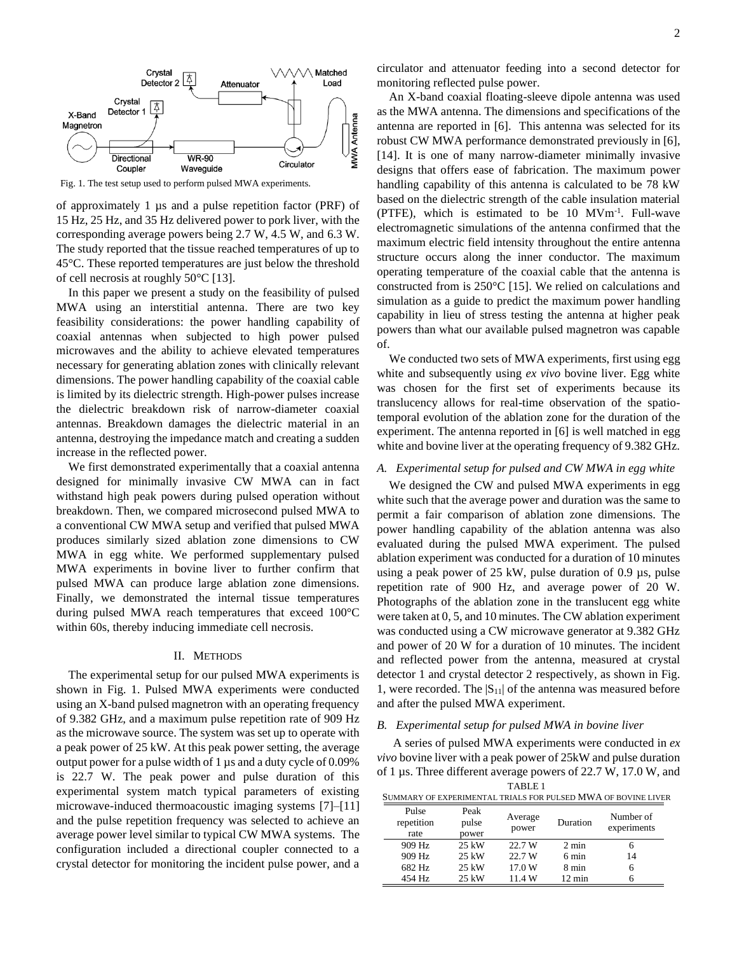

Fig. 1. The test setup used to perform pulsed MWA experiments.

of approximately 1 µs and a pulse repetition factor (PRF) of 15 Hz, 25 Hz, and 35 Hz delivered power to pork liver, with the corresponding average powers being 2.7 W, 4.5 W, and 6.3 W. The study reported that the tissue reached temperatures of up to 45°C. These reported temperatures are just below the threshold of cell necrosis at roughly 50°C [13].

In this paper we present a study on the feasibility of pulsed MWA using an interstitial antenna. There are two key feasibility considerations: the power handling capability of coaxial antennas when subjected to high power pulsed microwaves and the ability to achieve elevated temperatures necessary for generating ablation zones with clinically relevant dimensions. The power handling capability of the coaxial cable is limited by its dielectric strength. High-power pulses increase the dielectric breakdown risk of narrow-diameter coaxial antennas. Breakdown damages the dielectric material in an antenna, destroying the impedance match and creating a sudden increase in the reflected power.

We first demonstrated experimentally that a coaxial antenna designed for minimally invasive CW MWA can in fact withstand high peak powers during pulsed operation without breakdown. Then, we compared microsecond pulsed MWA to a conventional CW MWA setup and verified that pulsed MWA produces similarly sized ablation zone dimensions to CW MWA in egg white. We performed supplementary pulsed MWA experiments in bovine liver to further confirm that pulsed MWA can produce large ablation zone dimensions. Finally, we demonstrated the internal tissue temperatures during pulsed MWA reach temperatures that exceed 100°C within 60s, thereby inducing immediate cell necrosis.

#### II. METHODS

The experimental setup for our pulsed MWA experiments is shown in Fig. 1. Pulsed MWA experiments were conducted using an X-band pulsed magnetron with an operating frequency of 9.382 GHz, and a maximum pulse repetition rate of 909 Hz as the microwave source. The system was set up to operate with a peak power of 25 kW. At this peak power setting, the average output power for a pulse width of 1 µs and a duty cycle of 0.09% is 22.7 W. The peak power and pulse duration of this experimental system match typical parameters of existing microwave-induced thermoacoustic imaging systems [7]–[11] and the pulse repetition frequency was selected to achieve an average power level similar to typical CW MWA systems. The configuration included a directional coupler connected to a crystal detector for monitoring the incident pulse power, and a

An X-band coaxial floating-sleeve dipole antenna was used as the MWA antenna. The dimensions and specifications of the antenna are reported in [6]. This antenna was selected for its robust CW MWA performance demonstrated previously in [6], [14]. It is one of many narrow-diameter minimally invasive designs that offers ease of fabrication. The maximum power handling capability of this antenna is calculated to be 78 kW based on the dielectric strength of the cable insulation material (PTFE), which is estimated to be 10 MVm-1 . Full-wave electromagnetic simulations of the antenna confirmed that the maximum electric field intensity throughout the entire antenna structure occurs along the inner conductor. The maximum operating temperature of the coaxial cable that the antenna is constructed from is 250°C [15]. We relied on calculations and simulation as a guide to predict the maximum power handling capability in lieu of stress testing the antenna at higher peak powers than what our available pulsed magnetron was capable of.

We conducted two sets of MWA experiments, first using egg white and subsequently using *ex vivo* bovine liver. Egg white was chosen for the first set of experiments because its translucency allows for real-time observation of the spatiotemporal evolution of the ablation zone for the duration of the experiment. The antenna reported in [6] is well matched in egg white and bovine liver at the operating frequency of 9.382 GHz.

## *A. Experimental setup for pulsed and CW MWA in egg white*

We designed the CW and pulsed MWA experiments in egg white such that the average power and duration was the same to permit a fair comparison of ablation zone dimensions. The power handling capability of the ablation antenna was also evaluated during the pulsed MWA experiment. The pulsed ablation experiment was conducted for a duration of 10 minutes using a peak power of 25 kW, pulse duration of 0.9 µs, pulse repetition rate of 900 Hz, and average power of 20 W. Photographs of the ablation zone in the translucent egg white were taken at 0, 5, and 10 minutes. The CW ablation experiment was conducted using a CW microwave generator at 9.382 GHz and power of 20 W for a duration of 10 minutes. The incident and reflected power from the antenna, measured at crystal detector 1 and crystal detector 2 respectively, as shown in Fig. 1, were recorded. The  $|S_{11}|$  of the antenna was measured before and after the pulsed MWA experiment.

#### *B. Experimental setup for pulsed MWA in bovine liver*

A series of pulsed MWA experiments were conducted in *ex vivo* bovine liver with a peak power of 25kW and pulse duration of 1 µs. Three different average powers of 22.7 W, 17.0 W, and

| TABLE <sub>1</sub>                                            |                     |               |                  |                 |                          |  |  |  |  |  |  |
|---------------------------------------------------------------|---------------------|---------------|------------------|-----------------|--------------------------|--|--|--|--|--|--|
| SUMMARY OF EXPERIMENTAL TRIALS FOR PULSED MWA OF BOVINE LIVER |                     |               |                  |                 |                          |  |  |  |  |  |  |
|                                                               | Pulse<br>repetition | Peak<br>pulse | Average<br>power | Duration        | Number of<br>experiments |  |  |  |  |  |  |
|                                                               | rate                | power         |                  |                 |                          |  |  |  |  |  |  |
|                                                               | 909 Hz              | $25$ kW       | 22.7 W           | $2 \text{ min}$ | 6                        |  |  |  |  |  |  |
|                                                               | 909 Hz              | $25$ kW       | 22.7 W           | 6 min           | 14                       |  |  |  |  |  |  |
|                                                               | 682 Hz              | $25$ kW       | 17.0 W           | 8 min           | 6                        |  |  |  |  |  |  |
|                                                               | 454 Hz              | $25$ kW       | 11.4 W           | 12 min          |                          |  |  |  |  |  |  |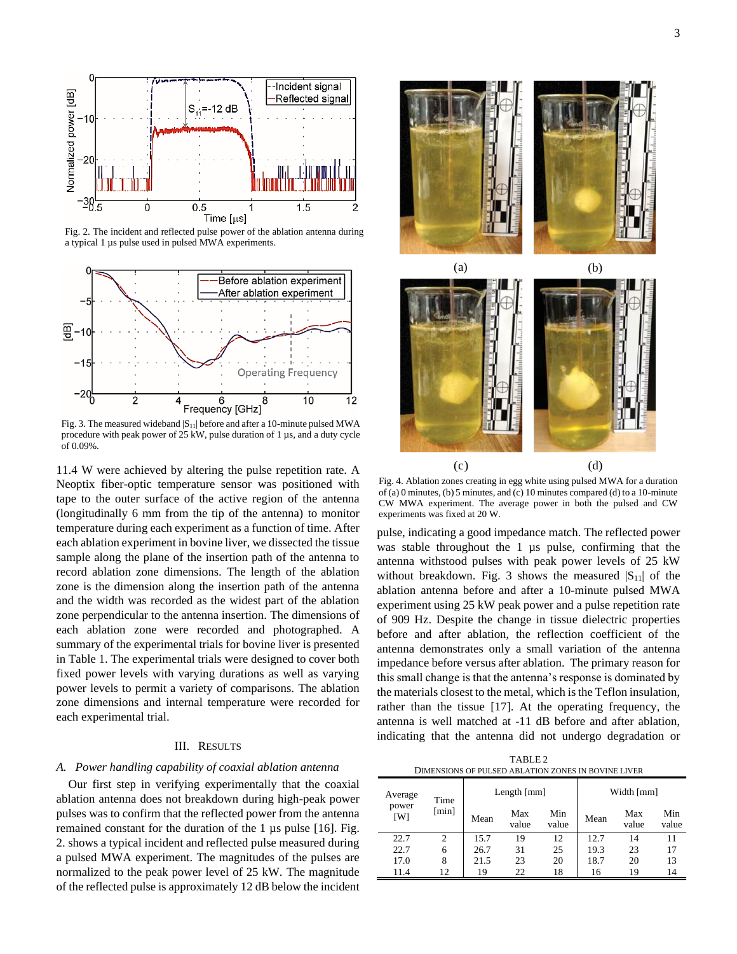

Fig. 2. The incident and reflected pulse power of the ablation antenna during a typical 1 µs pulse used in pulsed MWA experiments.



Fig. 3. The measured wideband  $|S_{11}|$  before and after a 10-minute pulsed MWA procedure with peak power of 25 kW, pulse duration of 1 µs, and a duty cycle of 0.09%.

11.4 W were achieved by altering the pulse repetition rate. A Neoptix fiber-optic temperature sensor was positioned with tape to the outer surface of the active region of the antenna (longitudinally 6 mm from the tip of the antenna) to monitor temperature during each experiment as a function of time. After each ablation experiment in bovine liver, we dissected the tissue sample along the plane of the insertion path of the antenna to record ablation zone dimensions. The length of the ablation zone is the dimension along the insertion path of the antenna and the width was recorded as the widest part of the ablation zone perpendicular to the antenna insertion. The dimensions of each ablation zone were recorded and photographed. A summary of the experimental trials for bovine liver is presented in Table 1. The experimental trials were designed to cover both fixed power levels with varying durations as well as varying power levels to permit a variety of comparisons. The ablation zone dimensions and internal temperature were recorded for each experimental trial.

# III. RESULTS

## *A. Power handling capability of coaxial ablation antenna*

Our first step in verifying experimentally that the coaxial ablation antenna does not breakdown during high-peak power pulses was to confirm that the reflected power from the antenna remained constant for the duration of the 1 µs pulse [16]. Fig. 2. shows a typical incident and reflected pulse measured during a pulsed MWA experiment. The magnitudes of the pulses are normalized to the peak power level of 25 kW. The magnitude of the reflected pulse is approximately 12 dB below the incident



Fig. 4. Ablation zones creating in egg white using pulsed MWA for a duration of (a) 0 minutes, (b) 5 minutes, and (c) 10 minutes compared (d) to a 10-minute CW MWA experiment. The average power in both the pulsed and CW experiments was fixed at 20 W.

pulse, indicating a good impedance match. The reflected power was stable throughout the 1 µs pulse, confirming that the antenna withstood pulses with peak power levels of 25 kW without breakdown. Fig. 3 shows the measured  $|S_{11}|$  of the ablation antenna before and after a 10-minute pulsed MWA experiment using 25 kW peak power and a pulse repetition rate of 909 Hz. Despite the change in tissue dielectric properties before and after ablation, the reflection coefficient of the antenna demonstrates only a small variation of the antenna impedance before versus after ablation. The primary reason for this small change is that the antenna's response is dominated by the materials closest to the metal, which is the Teflon insulation, rather than the tissue [17]. At the operating frequency, the antenna is well matched at -11 dB before and after ablation, indicating that the antenna did not undergo degradation or

TABLE 2 DIMENSIONS OF PULSED ABLATION ZONES IN BOVINE LIVER

| Average      | Time  | Length $[mm]$ |              |              | Width [mm] |              |              |
|--------------|-------|---------------|--------------|--------------|------------|--------------|--------------|
| power<br>[W] | [min] | Mean          | Max<br>value | Min<br>value | Mean       | Max<br>value | Min<br>value |
| 22.7         | 2     | 15.7          | 19           | 12           | 12.7       | 14           | 11           |
| 22.7         | 6     | 26.7          | 31           | 25           | 19.3       | 23           | 17           |
| 17.0         | 8     | 21.5          | 23           | 20           | 18.7       | 20           | 13           |
| 11.4         | 12    | 19            | 22           | 18           | 16         | 19           | 14           |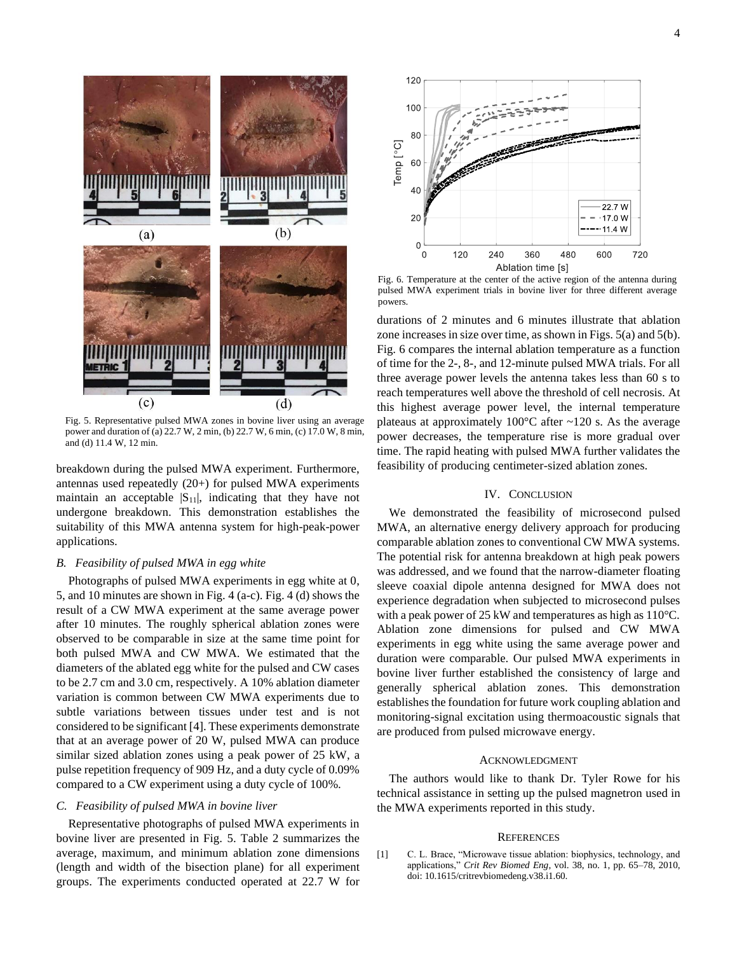

Fig. 5. Representative pulsed MWA zones in bovine liver using an average power and duration of (a) 22.7 W, 2 min, (b) 22.7 W, 6 min, (c) 17.0 W, 8 min, and (d) 11.4 W, 12 min.

breakdown during the pulsed MWA experiment. Furthermore, antennas used repeatedly (20+) for pulsed MWA experiments maintain an acceptable  $|S_{11}|$ , indicating that they have not undergone breakdown. This demonstration establishes the suitability of this MWA antenna system for high-peak-power applications.

# *B. Feasibility of pulsed MWA in egg white*

Photographs of pulsed MWA experiments in egg white at 0, 5, and 10 minutes are shown in Fig. 4 (a-c). Fig. 4 (d) shows the result of a CW MWA experiment at the same average power after 10 minutes. The roughly spherical ablation zones were observed to be comparable in size at the same time point for both pulsed MWA and CW MWA. We estimated that the diameters of the ablated egg white for the pulsed and CW cases to be 2.7 cm and 3.0 cm, respectively. A 10% ablation diameter variation is common between CW MWA experiments due to subtle variations between tissues under test and is not considered to be significant [4]. These experiments demonstrate that at an average power of 20 W, pulsed MWA can produce similar sized ablation zones using a peak power of 25 kW, a pulse repetition frequency of 909 Hz, and a duty cycle of 0.09% compared to a CW experiment using a duty cycle of 100%.

## *C. Feasibility of pulsed MWA in bovine liver*

Representative photographs of pulsed MWA experiments in bovine liver are presented in Fig. 5. Table 2 summarizes the average, maximum, and minimum ablation zone dimensions (length and width of the bisection plane) for all experiment groups. The experiments conducted operated at 22.7 W for



Fig. 6. Temperature at the center of the active region of the antenna during pulsed MWA experiment trials in bovine liver for three different average powers.

durations of 2 minutes and 6 minutes illustrate that ablation zone increases in size over time, as shown in Figs. 5(a) and 5(b). Fig. 6 compares the internal ablation temperature as a function of time for the 2-, 8-, and 12-minute pulsed MWA trials. For all three average power levels the antenna takes less than 60 s to reach temperatures well above the threshold of cell necrosis. At this highest average power level, the internal temperature plateaus at approximately  $100^{\circ}$ C after  $\sim$ 120 s. As the average power decreases, the temperature rise is more gradual over time. The rapid heating with pulsed MWA further validates the feasibility of producing centimeter-sized ablation zones.

## IV. CONCLUSION

We demonstrated the feasibility of microsecond pulsed MWA, an alternative energy delivery approach for producing comparable ablation zones to conventional CW MWA systems. The potential risk for antenna breakdown at high peak powers was addressed, and we found that the narrow-diameter floating sleeve coaxial dipole antenna designed for MWA does not experience degradation when subjected to microsecond pulses with a peak power of 25 kW and temperatures as high as 110°C. Ablation zone dimensions for pulsed and CW MWA experiments in egg white using the same average power and duration were comparable. Our pulsed MWA experiments in bovine liver further established the consistency of large and generally spherical ablation zones. This demonstration establishes the foundation for future work coupling ablation and monitoring-signal excitation using thermoacoustic signals that are produced from pulsed microwave energy.

## ACKNOWLEDGMENT

The authors would like to thank Dr. Tyler Rowe for his technical assistance in setting up the pulsed magnetron used in the MWA experiments reported in this study.

#### **REFERENCES**

[1] C. L. Brace, "Microwave tissue ablation: biophysics, technology, and applications," *Crit Rev Biomed Eng*, vol. 38, no. 1, pp. 65–78, 2010, doi: 10.1615/critrevbiomedeng.v38.i1.60.